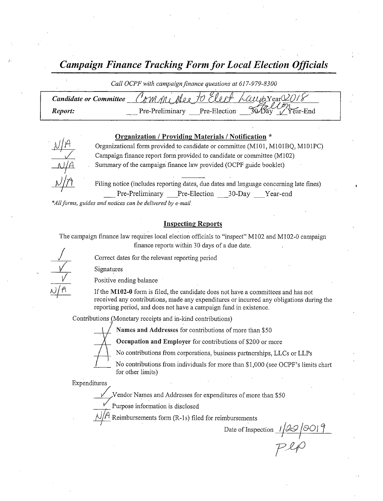Campaign Finance Tracking Form for Local Flection Officials

Call OCPF with campaign finance questions at 617-979-8300

| <b>Candidate or Committee</b> |                 |              | : CAMMi Alex to Elect Laujoxear 2018 |  |
|-------------------------------|-----------------|--------------|--------------------------------------|--|
| Report:                       | Pre-Preliminary | Pre-Election | mп<br>30 Day Year-End                |  |

#### Organization / Providing Materials / Notification \*



l Organizational form provided to candidate or committee (M101, M101BQ, M101PC) Campaign finance report form provided to candidate or committee  $(M102)$ Summary of the campaign finance law provided( OCPF guide booklet)

Filing notice (includes reporting dates, due dates and language concerning late fines) Pre-Preliminary Pre-Election \_\_30-Day \_\_Year-end

\*All forms, guides and notices can be delivered by e-mail.

#### Inspecting Reports

The campaign finance law requires local election officials to "inspect" M102 and M102-0 campaign finance reports within 30 days of <sup>a</sup> due date.

Correct dates for the relevant reporting period

Signatures

 $\overline{\mathcal{N}}$  $\frac{V}{V}$ <br> $\frac{V}{M}$ 

Positive ending balance

If the M102-0 form is filed, the candidate does not have a committees and has not received any contributions, made any expenditures or incurred any obligations during the reporting period, and does not have a campaign fund in existence.

Contributions ( Monetary receipts and in-kind contributions)

Names and Addresses for contributions of more than \$50

Occupation and Employer for contributions of \$200 or more



No contributions from corporations, business partnerships, LLCs or LLPs

No contributions from individuals for more than \$1,000 (see OCPF's limits chart for other limits)

Expenditures

Vendor Names and Addresses for expenditures of more than\$ 50

Purpose information is disclosed

Reimbursements form (R-1s) filed for reimbursements

Date of Inspection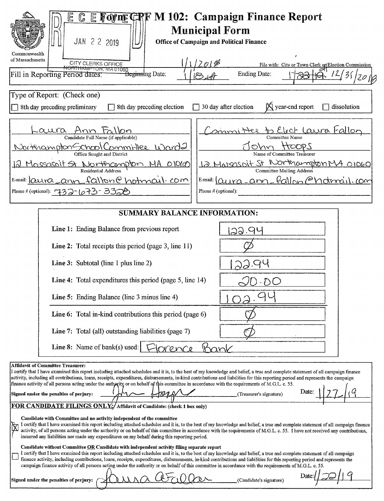| C E Foyne CRF M 102: Campaign Finance Report<br>E.<br><b>Municipal Form</b><br>JAN 2 2 2019<br><b>Office of Campaign and Political Finance</b>                                                                                                                                                                                                                                                                                                                                                                                                                                                                                                                                                                              |                                                                           |  |  |  |  |
|-----------------------------------------------------------------------------------------------------------------------------------------------------------------------------------------------------------------------------------------------------------------------------------------------------------------------------------------------------------------------------------------------------------------------------------------------------------------------------------------------------------------------------------------------------------------------------------------------------------------------------------------------------------------------------------------------------------------------------|---------------------------------------------------------------------------|--|--|--|--|
| Commonwealth<br>of Massachusetts<br>CITY CLERKS OFFICE<br>NORTHAMPTON, MA 01060<br><del>Beginn</del> ing Date:<br>Fill in Reporting Period dates:                                                                                                                                                                                                                                                                                                                                                                                                                                                                                                                                                                           | File with: City or Town Clerk or Election Commission<br>Ending Date:<br>3 |  |  |  |  |
| Type of Report: (Check one)<br>$\Box$ 30 day after election<br>8th day preceding preliminary<br>8th day preceding election                                                                                                                                                                                                                                                                                                                                                                                                                                                                                                                                                                                                  | $\mathbb{X}$ year-end report<br>dissolution<br>$\Box$                     |  |  |  |  |
| Committee to Elect Laura Itallon<br><u>aura</u><br>Committee Name<br>Candidate Full Name (if applicable)<br>HOOPS<br>Northampton School Committee Word2<br>ohn<br>Office Sought and District<br>Name of Committee Treasurer<br>12 Marsasoit St Northampton MA 01060<br>12 Massasoit St Northcompton MA 01060<br><b>Committee Mailing Address</b><br>E-mail: aura ann fallon Chotmail. com<br>$E$ -mail: $[Quura - ann - Fallom \odot Motrmi].$ com<br>Phone # (optional): 732-673-3320<br>Phone # (optional):                                                                                                                                                                                                               |                                                                           |  |  |  |  |
| <b>SUMMARY BALANCE INFORMATION:</b>                                                                                                                                                                                                                                                                                                                                                                                                                                                                                                                                                                                                                                                                                         |                                                                           |  |  |  |  |
| Line 1: Ending Balance from previous report                                                                                                                                                                                                                                                                                                                                                                                                                                                                                                                                                                                                                                                                                 | 29.94                                                                     |  |  |  |  |
| Line 2: Total receipts this period (page 3, line 11)                                                                                                                                                                                                                                                                                                                                                                                                                                                                                                                                                                                                                                                                        |                                                                           |  |  |  |  |
| Line 3: Subtotal (line 1 plus line 2)                                                                                                                                                                                                                                                                                                                                                                                                                                                                                                                                                                                                                                                                                       |                                                                           |  |  |  |  |
| Line 4: Total expenditures this period (page 5, line 14)                                                                                                                                                                                                                                                                                                                                                                                                                                                                                                                                                                                                                                                                    |                                                                           |  |  |  |  |
| Line 5: Ending Balance (line 3 minus line 4)                                                                                                                                                                                                                                                                                                                                                                                                                                                                                                                                                                                                                                                                                |                                                                           |  |  |  |  |
| Line 6: Total in-kind contributions this period (page 6)                                                                                                                                                                                                                                                                                                                                                                                                                                                                                                                                                                                                                                                                    |                                                                           |  |  |  |  |
| Line 7: Total (all) outstanding liabilities (page 7)                                                                                                                                                                                                                                                                                                                                                                                                                                                                                                                                                                                                                                                                        |                                                                           |  |  |  |  |
| Line 8: Name of bank(s) used:<br>Kank<br>Orence                                                                                                                                                                                                                                                                                                                                                                                                                                                                                                                                                                                                                                                                             |                                                                           |  |  |  |  |
| <b>Affidavit of Committee Treasurer:</b><br>I certify that I have examined this report including attached schedules and it is, to the best of my knowledge and belief, a true and complete statement of all campaign finance<br>activity, including all contributions, loans, receipts, expenditures, disbursements, in-kind contributions and liabilities for this reporting period and represents the campaign<br>finance activity of all persons acting under the authority or on behalf of this committee in accordance with the requirements of M.G.L. c. 55.<br>Date:<br>Signed under the penalties of perjury:<br>(Treasurer's signature)<br>FOR CANDIDATE FILINGS ONLY:/ Affidavit of Candidate: (check 1 box only) |                                                                           |  |  |  |  |
| Candidate with Committee and no activity independent of the committee<br>I certify that I have examined this report including attached schedules and it is, to the best of my knowledge and belief, a true and complete statement of all campaign finance<br>Ì<br>activity, of all persons acting under the authority or on behalf of this committee in accordance with the requirements of M.G.L. c. 55. I have not received any contributions,<br>incurred any liabilities nor made any expenditures on my behalf during this reporting period.                                                                                                                                                                           |                                                                           |  |  |  |  |
| Candidate without Committee OR Candidate with independent activity filing separate report<br>I certify that I have examined this report including attached schedules and it is, to the best of my knowledge and belief, a true and complete statement of all campaign<br>finance activity, including contributions, loans, receipts, expenditures, disbursements, in-kind contributions and liabilities for this reporting period and represents the<br>campaign finance activity of all persons acting under the authority or on behalf of this committee in accordance with the requirements of M.G.L. c. 55.                                                                                                             |                                                                           |  |  |  |  |
| Signed under the penalties of perjury:<br>(Candidate's signature)                                                                                                                                                                                                                                                                                                                                                                                                                                                                                                                                                                                                                                                           |                                                                           |  |  |  |  |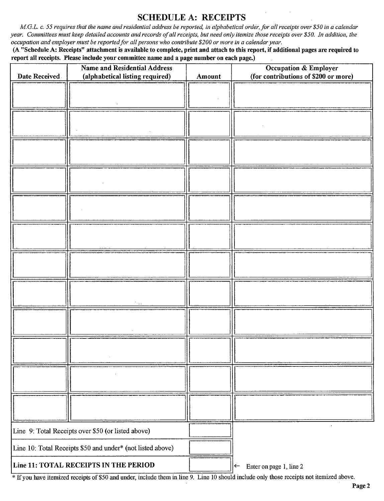### SCHEDULE A: RECEIPTS

M.G.L. c. 55 requires that the name and residential address be reported, in alphabetical order, for all receipts over \$50 in a calendar year. Committees must keep detailed accounts and records of all receipts, but need only itemize those receipts over \$50. In addition, the occupation and employer must be reported for all persons who contribute \$200 or more in a calendar year.

A" Schedule A: Receipts" attachment is available to complete, print and attach to this report, if additional pages are required to report all receipts. Please include your committee name and a page number on each page.)

| Date Received                                              | <b>Name and Residential Address</b><br>(alphabetical listing required) | Amount                                                 | Occupation & Employer<br>(for contributions of \$200 or more) |
|------------------------------------------------------------|------------------------------------------------------------------------|--------------------------------------------------------|---------------------------------------------------------------|
|                                                            |                                                                        |                                                        |                                                               |
|                                                            |                                                                        |                                                        |                                                               |
|                                                            |                                                                        |                                                        |                                                               |
|                                                            |                                                                        |                                                        |                                                               |
|                                                            |                                                                        |                                                        |                                                               |
|                                                            |                                                                        |                                                        |                                                               |
|                                                            |                                                                        |                                                        |                                                               |
|                                                            |                                                                        |                                                        |                                                               |
|                                                            |                                                                        |                                                        |                                                               |
|                                                            |                                                                        |                                                        |                                                               |
|                                                            |                                                                        |                                                        |                                                               |
|                                                            |                                                                        |                                                        |                                                               |
| Line 9: Total Receipts over \$50 (or listed above)         |                                                                        |                                                        |                                                               |
| Line 10: Total Receipts \$50 and under* (not listed above) |                                                                        |                                                        |                                                               |
| Line 11: TOTAL RECEIPTS IN THE PERIOD                      |                                                                        | Enter on page 1, line 2<br>$\left  \leftarrow \right $ |                                                               |

<sup>\*</sup> If you have itemized receipts of \$50 and under, include them in line 9. Line 10 should include only those receipts not itemized above.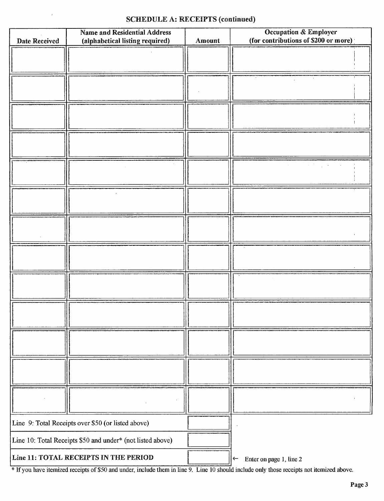### SCHEDULE A: RECEIPTS (continued)

| <b>Date Received</b>                                       | <b>Name and Residential Address</b><br>(alphabetical listing required) | Amount | <b>Occupation &amp; Employer</b><br>(for contributions of \$200 or more) |
|------------------------------------------------------------|------------------------------------------------------------------------|--------|--------------------------------------------------------------------------|
|                                                            |                                                                        |        |                                                                          |
|                                                            |                                                                        |        |                                                                          |
|                                                            |                                                                        |        |                                                                          |
|                                                            |                                                                        |        |                                                                          |
|                                                            |                                                                        |        |                                                                          |
|                                                            |                                                                        |        |                                                                          |
|                                                            |                                                                        |        |                                                                          |
|                                                            |                                                                        |        |                                                                          |
|                                                            |                                                                        |        |                                                                          |
|                                                            |                                                                        |        |                                                                          |
|                                                            |                                                                        |        |                                                                          |
|                                                            |                                                                        |        |                                                                          |
|                                                            |                                                                        |        |                                                                          |
| Line 9: Total Receipts over \$50 (or listed above)         |                                                                        |        |                                                                          |
| Line 10: Total Receipts \$50 and under* (not listed above) |                                                                        |        |                                                                          |
| Line 11: TOTAL RECEIPTS IN THE PERIOD                      |                                                                        |        | Enter on page 1, line 2<br>$\leftarrow$                                  |

<sup>\*</sup> If you have itemized receipts of \$50 and under, include them in line 9. Line 10 should include only those receipts not itemized above.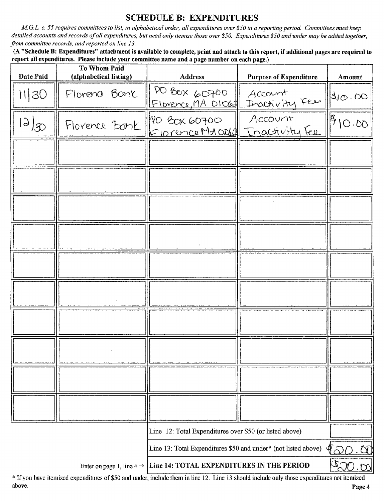## **SCHEDULE B: EXPENDITURES**

M.G.L. c. 55 requires committees to list, in alphabetical order, all expenditures over \$50 in a reporting period. Committees must keep detailed accounts and records of all expenditures, but need only itemize those over \$50. Expenditures \$50 and under may be added together, from committee records, and reported on line 13.

(A "Schedule B: Expenditures" attachment is available to complete, print and attach to this report, if additional pages are required to report all expenditures. Please include your committee name and a page number on each page.)

| Date Paid     | <b>To Whom Paid</b><br>(alphabetical listing) | <b>Address</b>                                                                   | <b>Purpose of Expenditure</b> | Amount                         |
|---------------|-----------------------------------------------|----------------------------------------------------------------------------------|-------------------------------|--------------------------------|
| 1130          | Florena Bank                                  | DO BOX 60700<br>Florence, MA DIOGAL                                              | Account<br>Inactivity Fee     | 40.00                          |
| $\frac{1}{2}$ | Florence Bank                                 | PO BOX 60700<br>Elorence Ma Orbell Inactivity Fee                                | Account                       | 10.00                          |
|               |                                               |                                                                                  |                               |                                |
|               |                                               |                                                                                  |                               |                                |
|               |                                               |                                                                                  |                               |                                |
|               |                                               |                                                                                  |                               |                                |
|               |                                               |                                                                                  |                               |                                |
|               |                                               |                                                                                  |                               |                                |
|               |                                               |                                                                                  |                               |                                |
|               |                                               |                                                                                  |                               |                                |
|               |                                               |                                                                                  |                               |                                |
|               |                                               |                                                                                  |                               |                                |
|               |                                               | Line 12: Total Expenditures over \$50 (or listed above)                          |                               |                                |
|               |                                               | Line 13: Total Expenditures \$50 and under* (not listed above)                   |                               | 40<br>ÒN                       |
|               |                                               | Enter on page 1, line $4 \rightarrow$ [Line 14: TOTAL EXPENDITURES IN THE PERIOD |                               | $\mathbb{C}^{\mathbb{Z}}$<br>M |

\* If you have itemized expenditures of \$50 and under, include them in line 12. Line 13 should include only those expenditures not itemized above.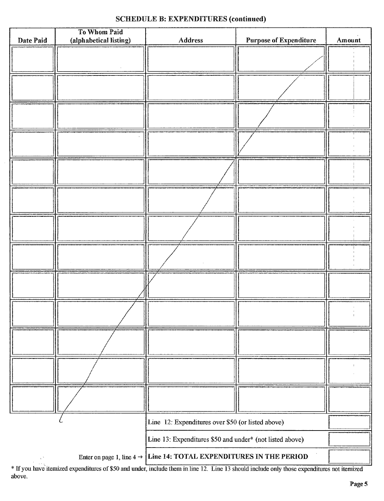## SCHEDULE B: EXPENDITURES (continued)

| Date Paid                                         | To Whom Paid<br>(alphabetical listing) | Address                                                                         | <b>Purpose of Expenditure</b> | Amount |
|---------------------------------------------------|----------------------------------------|---------------------------------------------------------------------------------|-------------------------------|--------|
|                                                   |                                        |                                                                                 |                               |        |
|                                                   |                                        |                                                                                 |                               |        |
|                                                   |                                        |                                                                                 |                               |        |
|                                                   |                                        |                                                                                 |                               |        |
|                                                   |                                        |                                                                                 |                               |        |
|                                                   |                                        |                                                                                 |                               |        |
|                                                   |                                        |                                                                                 |                               |        |
|                                                   |                                        |                                                                                 |                               |        |
|                                                   |                                        |                                                                                 |                               |        |
|                                                   |                                        |                                                                                 |                               |        |
|                                                   |                                        |                                                                                 |                               |        |
|                                                   |                                        |                                                                                 |                               |        |
|                                                   |                                        |                                                                                 |                               |        |
|                                                   |                                        |                                                                                 |                               |        |
| Line 12: Expenditures over \$50 (or listed above) |                                        |                                                                                 |                               |        |
|                                                   |                                        | Line 13: Expenditures \$50 and under* (not listed above)                        |                               |        |
| $\frac{1}{2}$ , $\frac{1}{2}$                     |                                        | Enter on page 1, line $4 \rightarrow$ Line 14: TOTAL EXPENDITURES IN THE PERIOD |                               |        |

Ifyou have itemized expenditures of\$50 and under, include them in line 12. Line <sup>13</sup> should include only those expenditures not itemized above.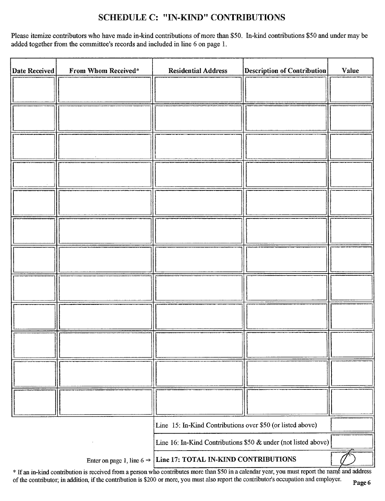## SCHEDULE C: "IN-KIND" CONTRIBUTIONS

Please itemize contributors who have made in-kind contributions of more than \$50. In-kind contributions \$50 and under may be added together from the committee's records and included in line 6 on page 1.

| <b>Date Received</b> | From Whom Received* | <b>Residential Address</b>                                                 | <b>Description of Contribution</b> | Value |
|----------------------|---------------------|----------------------------------------------------------------------------|------------------------------------|-------|
|                      |                     |                                                                            |                                    |       |
|                      |                     |                                                                            |                                    |       |
|                      |                     |                                                                            |                                    |       |
|                      |                     |                                                                            |                                    |       |
|                      |                     |                                                                            |                                    |       |
|                      |                     |                                                                            |                                    |       |
|                      |                     |                                                                            |                                    |       |
|                      |                     |                                                                            |                                    |       |
|                      |                     |                                                                            |                                    |       |
|                      |                     |                                                                            |                                    |       |
|                      |                     |                                                                            |                                    |       |
|                      |                     |                                                                            |                                    |       |
|                      |                     |                                                                            |                                    |       |
|                      |                     |                                                                            |                                    |       |
|                      |                     |                                                                            |                                    |       |
|                      |                     |                                                                            |                                    |       |
|                      |                     |                                                                            |                                    |       |
|                      |                     |                                                                            |                                    |       |
|                      |                     |                                                                            |                                    |       |
|                      |                     |                                                                            |                                    |       |
|                      |                     |                                                                            |                                    |       |
|                      |                     |                                                                            |                                    |       |
|                      |                     | Line 15: In-Kind Contributions over \$50 (or listed above)                 |                                    |       |
|                      |                     | Line 16: In-Kind Contributions \$50 $\&$ under (not listed above)          |                                    |       |
|                      |                     | Enter on page 1, line $6 \rightarrow$ Line 17: TOTAL IN-KIND CONTRIBUTIONS |                                    |       |

\* If an in-kind contribution is received from a person who contributes more than \$50 in a calendar year, you must report the name and address of the contributor; in addition, if the contribution is \$200 or more, you must also report the contributor's occupation and employer. Page 6